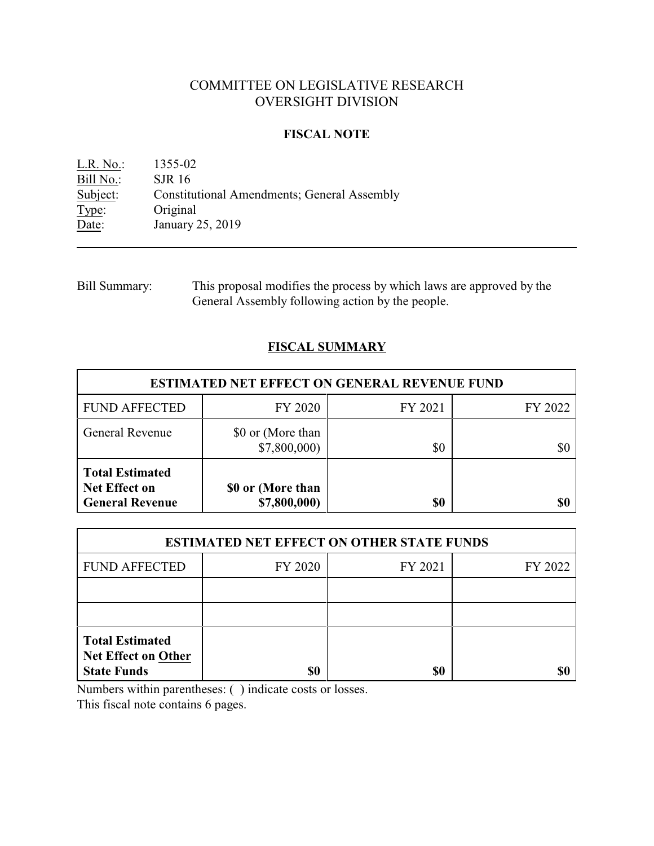# COMMITTEE ON LEGISLATIVE RESEARCH OVERSIGHT DIVISION

### **FISCAL NOTE**

L.R. No.: 1355-02 Bill No.: SJR 16<br>Subject: Constitu Subject: Constitutional Amendments; General Assembly<br>Type: Original Type: Original<br>Date: January January 25, 2019

| Bill Summary: | This proposal modifies the process by which laws are approved by the |
|---------------|----------------------------------------------------------------------|
|               | General Assembly following action by the people.                     |

# **FISCAL SUMMARY**

| <b>ESTIMATED NET EFFECT ON GENERAL REVENUE FUND</b>                      |                                   |         |         |  |
|--------------------------------------------------------------------------|-----------------------------------|---------|---------|--|
| <b>FUND AFFECTED</b>                                                     | FY 2020                           | FY 2021 | FY 2022 |  |
| <b>General Revenue</b>                                                   | \$0 or (More than<br>\$7,800,000  | \$0     | \$0     |  |
| <b>Total Estimated</b><br><b>Net Effect on</b><br><b>General Revenue</b> | \$0 or (More than<br>\$7,800,000) | \$0     | \$0     |  |

| <b>ESTIMATED NET EFFECT ON OTHER STATE FUNDS</b>                           |         |         |         |  |  |
|----------------------------------------------------------------------------|---------|---------|---------|--|--|
| <b>FUND AFFECTED</b>                                                       | FY 2020 | FY 2021 | FY 2022 |  |  |
|                                                                            |         |         |         |  |  |
|                                                                            |         |         |         |  |  |
| <b>Total Estimated</b><br><b>Net Effect on Other</b><br><b>State Funds</b> | \$0     | \$0     |         |  |  |

Numbers within parentheses: ( ) indicate costs or losses.

This fiscal note contains 6 pages.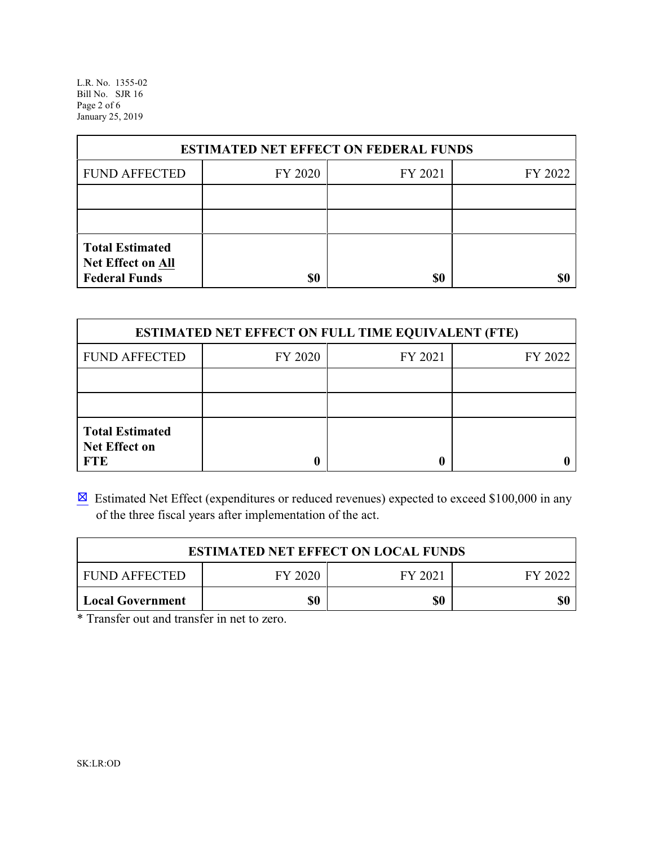L.R. No. 1355-02 Bill No. SJR 16 Page 2 of 6 January 25, 2019

| <b>ESTIMATED NET EFFECT ON FEDERAL FUNDS</b>                        |         |         |         |  |  |
|---------------------------------------------------------------------|---------|---------|---------|--|--|
| <b>FUND AFFECTED</b>                                                | FY 2020 | FY 2021 | FY 2022 |  |  |
|                                                                     |         |         |         |  |  |
|                                                                     |         |         |         |  |  |
| <b>Total Estimated</b><br>Net Effect on All<br><b>Federal Funds</b> | \$0     | \$0     |         |  |  |

| <b>ESTIMATED NET EFFECT ON FULL TIME EQUIVALENT (FTE)</b>    |         |         |         |  |  |
|--------------------------------------------------------------|---------|---------|---------|--|--|
| <b>FUND AFFECTED</b>                                         | FY 2020 | FY 2021 | FY 2022 |  |  |
|                                                              |         |         |         |  |  |
|                                                              |         |         |         |  |  |
| <b>Total Estimated</b><br><b>Net Effect on</b><br><b>FTE</b> |         |         |         |  |  |

 $\boxtimes$  Estimated Net Effect (expenditures or reduced revenues) expected to exceed \$100,000 in any of the three fiscal years after implementation of the act.

| <b>ESTIMATED NET EFFECT ON LOCAL FUNDS</b>            |     |     |  |  |  |
|-------------------------------------------------------|-----|-----|--|--|--|
| FY 2020<br><b>FUND AFFECTED</b><br>FY 2021<br>EV 2027 |     |     |  |  |  |
| <b>Local Government</b>                               | \$0 | \$0 |  |  |  |

\* Transfer out and transfer in net to zero.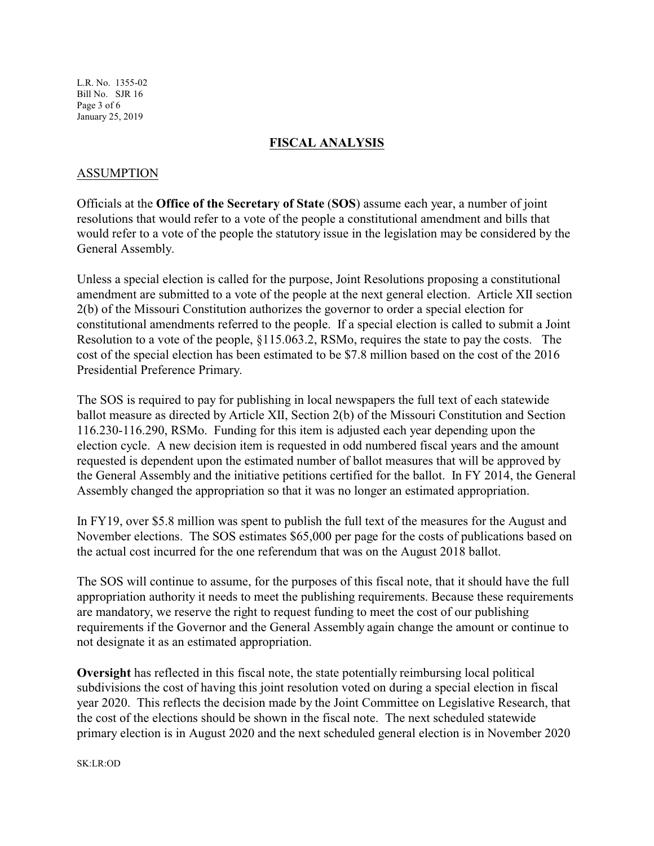L.R. No. 1355-02 Bill No. SJR 16 Page 3 of 6 January 25, 2019

#### **FISCAL ANALYSIS**

#### ASSUMPTION

Officials at the **Office of the Secretary of State** (**SOS**) assume each year, a number of joint resolutions that would refer to a vote of the people a constitutional amendment and bills that would refer to a vote of the people the statutory issue in the legislation may be considered by the General Assembly.

Unless a special election is called for the purpose, Joint Resolutions proposing a constitutional amendment are submitted to a vote of the people at the next general election. Article XII section 2(b) of the Missouri Constitution authorizes the governor to order a special election for constitutional amendments referred to the people. If a special election is called to submit a Joint Resolution to a vote of the people, §115.063.2, RSMo, requires the state to pay the costs. The cost of the special election has been estimated to be \$7.8 million based on the cost of the 2016 Presidential Preference Primary.

The SOS is required to pay for publishing in local newspapers the full text of each statewide ballot measure as directed by Article XII, Section 2(b) of the Missouri Constitution and Section 116.230-116.290, RSMo. Funding for this item is adjusted each year depending upon the election cycle. A new decision item is requested in odd numbered fiscal years and the amount requested is dependent upon the estimated number of ballot measures that will be approved by the General Assembly and the initiative petitions certified for the ballot. In FY 2014, the General Assembly changed the appropriation so that it was no longer an estimated appropriation.

In FY19, over \$5.8 million was spent to publish the full text of the measures for the August and November elections. The SOS estimates \$65,000 per page for the costs of publications based on the actual cost incurred for the one referendum that was on the August 2018 ballot.

The SOS will continue to assume, for the purposes of this fiscal note, that it should have the full appropriation authority it needs to meet the publishing requirements. Because these requirements are mandatory, we reserve the right to request funding to meet the cost of our publishing requirements if the Governor and the General Assembly again change the amount or continue to not designate it as an estimated appropriation.

**Oversight** has reflected in this fiscal note, the state potentially reimbursing local political subdivisions the cost of having this joint resolution voted on during a special election in fiscal year 2020. This reflects the decision made by the Joint Committee on Legislative Research, that the cost of the elections should be shown in the fiscal note. The next scheduled statewide primary election is in August 2020 and the next scheduled general election is in November 2020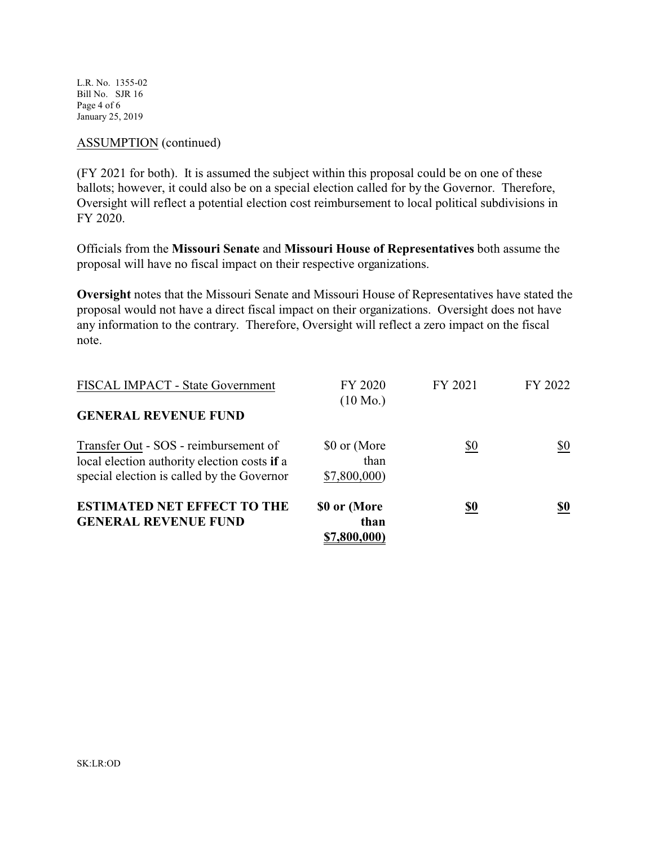L.R. No. 1355-02 Bill No. SJR 16 Page 4 of 6 January 25, 2019

#### ASSUMPTION (continued)

(FY 2021 for both). It is assumed the subject within this proposal could be on one of these ballots; however, it could also be on a special election called for by the Governor. Therefore, Oversight will reflect a potential election cost reimbursement to local political subdivisions in FY 2020.

Officials from the **Missouri Senate** and **Missouri House of Representatives** both assume the proposal will have no fiscal impact on their respective organizations.

**Oversight** notes that the Missouri Senate and Missouri House of Representatives have stated the proposal would not have a direct fiscal impact on their organizations. Oversight does not have any information to the contrary. Therefore, Oversight will reflect a zero impact on the fiscal note.

| <b>ESTIMATED NET EFFECT TO THE</b><br><b>GENERAL REVENUE FUND</b>                                                                   | \$0 or (More<br>than<br>\$7,800,000) | <u>\$0</u> | \$0     |
|-------------------------------------------------------------------------------------------------------------------------------------|--------------------------------------|------------|---------|
| Transfer Out - SOS - reimbursement of<br>local election authority election costs if a<br>special election is called by the Governor | \$0 or (More<br>than<br>\$7,800,000) | \$0        | \$0     |
| FISCAL IMPACT - State Government<br><b>GENERAL REVENUE FUND</b>                                                                     | FY 2020<br>$(10 \text{ Mo.})$        | FY 2021    | FY 2022 |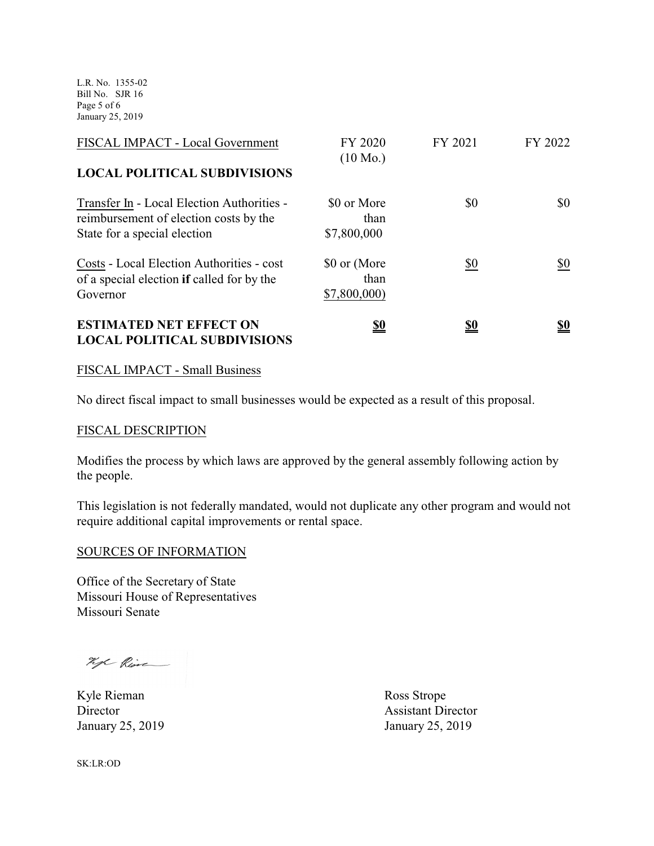L.R. No. 1355-02 Bill No. SJR 16 Page 5 of 6 January 25, 2019

| FISCAL IMPACT - Local Government                                                                                     | FY 2020<br>$(10 \text{ Mo.})$        | FY 2021    | FY 2022    |
|----------------------------------------------------------------------------------------------------------------------|--------------------------------------|------------|------------|
| <b>LOCAL POLITICAL SUBDIVISIONS</b>                                                                                  |                                      |            |            |
| Transfer In - Local Election Authorities -<br>reimbursement of election costs by the<br>State for a special election | \$0 or More<br>than<br>\$7,800,000   | \$0        | \$0        |
| Costs - Local Election Authorities - cost<br>of a special election if called for by the<br>Governor                  | \$0 or (More<br>than<br>\$7,800,000) | \$0        | \$0        |
| <b>ESTIMATED NET EFFECT ON</b><br><b>LOCAL POLITICAL SUBDIVISIONS</b>                                                | <u>\$0</u>                           | <u>\$0</u> | <u>\$0</u> |

#### FISCAL IMPACT - Small Business

No direct fiscal impact to small businesses would be expected as a result of this proposal.

## FISCAL DESCRIPTION

Modifies the process by which laws are approved by the general assembly following action by the people.

This legislation is not federally mandated, would not duplicate any other program and would not require additional capital improvements or rental space.

#### SOURCES OF INFORMATION

Office of the Secretary of State Missouri House of Representatives Missouri Senate

hope Rive

Kyle Rieman Ross Strope

Director Assistant Director January 25, 2019 January 25, 2019

SK:LR:OD